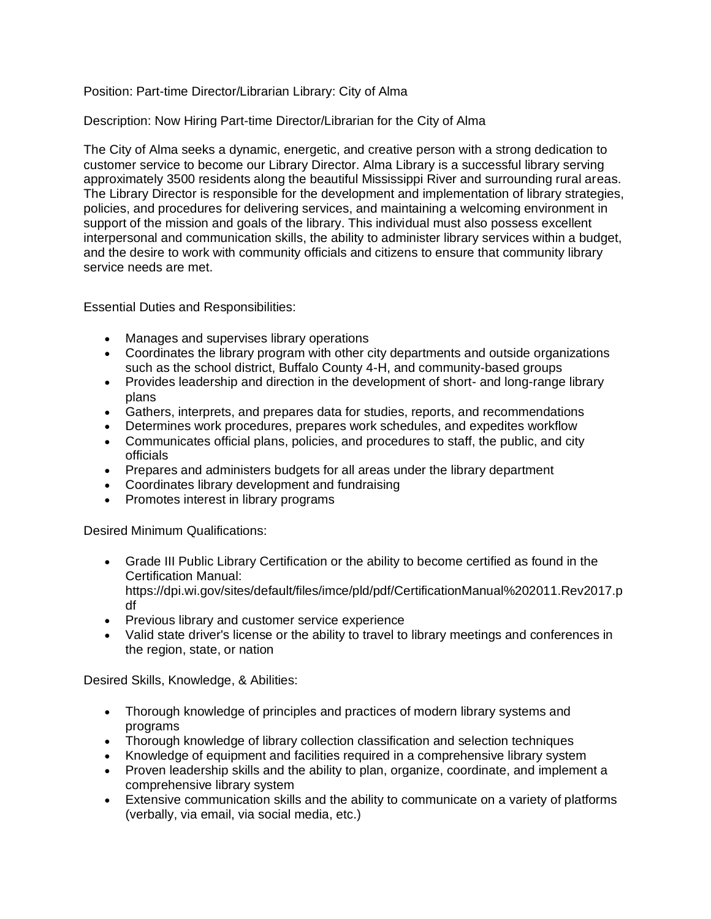## Position: Part-time Director/Librarian Library: City of Alma

## Description: Now Hiring Part-time Director/Librarian for the City of Alma

The City of Alma seeks a dynamic, energetic, and creative person with a strong dedication to customer service to become our Library Director. Alma Library is a successful library serving approximately 3500 residents along the beautiful Mississippi River and surrounding rural areas. The Library Director is responsible for the development and implementation of library strategies, policies, and procedures for delivering services, and maintaining a welcoming environment in support of the mission and goals of the library. This individual must also possess excellent interpersonal and communication skills, the ability to administer library services within a budget, and the desire to work with community officials and citizens to ensure that community library service needs are met.

Essential Duties and Responsibilities:

- Manages and supervises library operations
- Coordinates the library program with other city departments and outside organizations such as the school district, Buffalo County 4-H, and community-based groups
- Provides leadership and direction in the development of short- and long-range library plans
- Gathers, interprets, and prepares data for studies, reports, and recommendations
- Determines work procedures, prepares work schedules, and expedites workflow
- Communicates official plans, policies, and procedures to staff, the public, and city officials
- Prepares and administers budgets for all areas under the library department
- Coordinates library development and fundraising
- Promotes interest in library programs

Desired Minimum Qualifications:

• Grade III Public Library Certification or the ability to become certified as found in the Certification Manual:

https://dpi.wi.gov/sites/default/files/imce/pld/pdf/CertificationManual%202011.Rev2017.p df

- Previous library and customer service experience
- Valid state driver's license or the ability to travel to library meetings and conferences in the region, state, or nation

Desired Skills, Knowledge, & Abilities:

- Thorough knowledge of principles and practices of modern library systems and programs
- Thorough knowledge of library collection classification and selection techniques
- Knowledge of equipment and facilities required in a comprehensive library system
- Proven leadership skills and the ability to plan, organize, coordinate, and implement a comprehensive library system
- Extensive communication skills and the ability to communicate on a variety of platforms (verbally, via email, via social media, etc.)